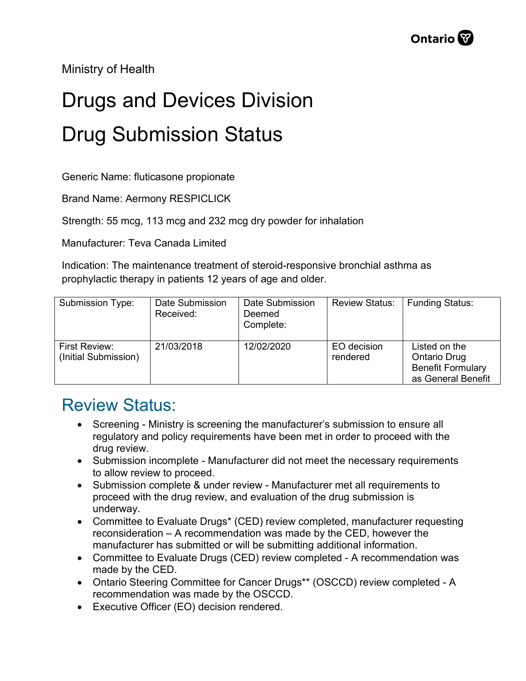Ministry of Health

## Drugs and Devices Division Drug Submission Status

Generic Name: fluticasone propionate

Brand Name: Aermony RESPICLICK

Strength: 55 mcg, 113 mcg and 232 mcg dry powder for inhalation

Manufacturer: Teva Canada Limited

Indication: The maintenance treatment of steroid-responsive bronchial asthma as prophylactic therapy in patients 12 years of age and older.

| Submission Type:                      | Date Submission<br>Received: | Date Submission<br>Deemed<br>Complete: | <b>Review Status:</b>   | <b>Funding Status:</b>                                                          |
|---------------------------------------|------------------------------|----------------------------------------|-------------------------|---------------------------------------------------------------------------------|
| First Review:<br>(Initial Submission) | 21/03/2018                   | 12/02/2020                             | EO decision<br>rendered | Listed on the<br>Ontario Drug<br><b>Benefit Formulary</b><br>as General Benefit |

## Review Status:

- Screening Ministry is screening the manufacturer's submission to ensure all regulatory and policy requirements have been met in order to proceed with the drug review.
- Submission incomplete Manufacturer did not meet the necessary requirements to allow review to proceed.
- Submission complete & under review Manufacturer met all requirements to proceed with the drug review, and evaluation of the drug submission is underway.
- Committee to Evaluate Drugs\* (CED) review completed, manufacturer requesting reconsideration – A recommendation was made by the CED, however the manufacturer has submitted or will be submitting additional information.
- Committee to Evaluate Drugs (CED) review completed A recommendation was made by the CED.
- Ontario Steering Committee for Cancer Drugs\*\* (OSCCD) review completed A recommendation was made by the OSCCD.
- Executive Officer (EO) decision rendered.